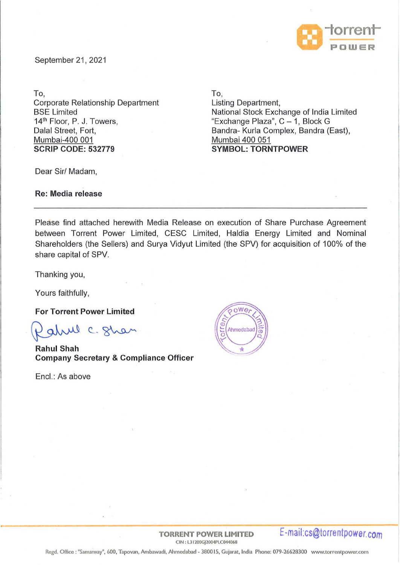

September 21, 2021

To,

Corporate Relationship Department **BSE Limited** 14<sup>th</sup> Floor, P. J. Towers, Dalal Street, Fort, Mumbai-400 001 **SCRIP CODE: 532779** 

To,

Listing Department, National Stock Exchange of India Limited "Exchange Plaza",  $C - 1$ , Block G Sandra- Kurla Complex, Sandra (East), Mumbai 400 051 **SYMBOL: TORNTPOWER** 

Dear Sir/ Madam,

**Re: Media release** 

Please find attached herewith Media Release on execution of Share Purchase Agreement between Torrent Power Limited, CESC Limited, Haldia Energy Limited and Nominal Shareholders (the Sellers) and Surya Vidyut Limited (the SPV) for. acquisition of 100% of the share capital of SPV.

Thanking you,

Yours faithfully,

**For Torrent Power Limited** 

alul c. Shan

**Rahul Shah Company Secretary & Compliance·Officer** 

Encl.: As above



**TORRENT POWER LIMITED E-ma** ii: **cs@torre ntpower. com**